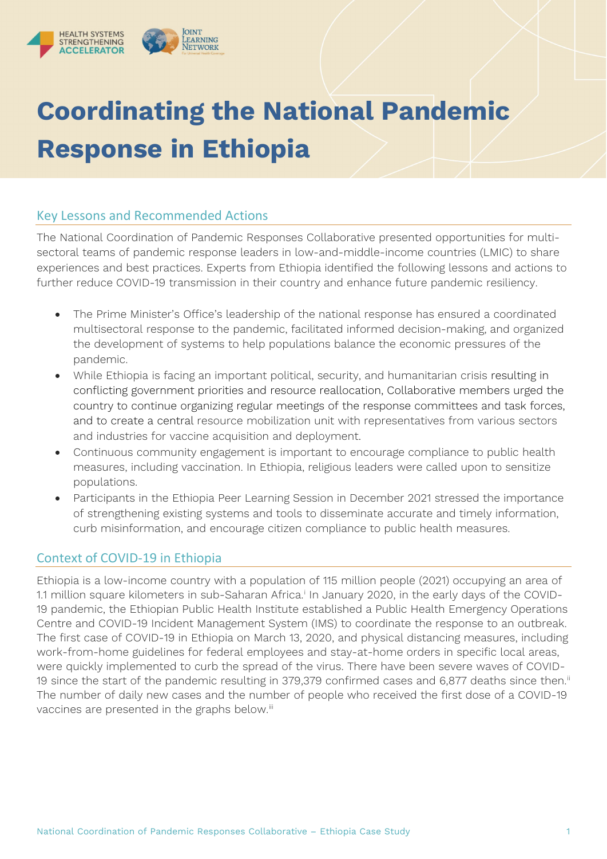

# **Coordinating the National Pandemic Response in Ethiopia**

## Key Lessons and Recommended Actions

The National Coordination of Pandemic Responses Collaborative presented opportunities for multisectoral teams of pandemic response leaders in low-and-middle-income countries (LMIC) to share experiences and best practices. Experts from Ethiopia identified the following lessons and actions to further reduce COVID-19 transmission in their country and enhance future pandemic resiliency.

- The Prime Minister's Office's leadership of the national response has ensured a coordinated multisectoral response to the pandemic, facilitated informed decision-making, and organized the development of systems to help populations balance the economic pressures of the pandemic.
- While Ethiopia is facing an important political, security, and humanitarian crisis resulting in conflicting government priorities and resource reallocation, Collaborative members urged the country to continue organizing regular meetings of the response committees and task forces, and to create a central resource mobilization unit with representatives from various sectors and industries for vaccine acquisition and deployment.
- Continuous community engagement is important to encourage compliance to public health measures, including vaccination. In Ethiopia, religious leaders were called upon to sensitize populations.
- Participants in the Ethiopia Peer Learning Session in December 2021 stressed the importance of strengthening existing systems and tools to disseminate accurate and timely information, curb misinformation, and encourage citizen compliance to public health measures.

# Context of COVID-19 in Ethiopia

Ethiopia is a low-income country with a population of 115 million people (2021) occupying an area of 1.1 m[i](#page-4-0)llion square kilometers in sub-Saharan Africa.<sup>i</sup> In January 2020, in the early days of the COVID-19 pandemic, the Ethiopian Public Health Institute established a Public Health Emergency Operations Centre and COVID-19 Incident Management System (IMS) to coordinate the response to an outbreak. The first case of COVID-19 in Ethiopia on March 13, 2020, and physical distancing measures, including work-from-home guidelines for federal employees and stay-at-home orders in specific local areas, were quickly implemented to curb the spread of the virus. There have been severe waves of COVID-19 since the start of the pandemic resulting in 379,379 confirmed cases and 6,877 deaths since then. [ii](#page-4-1) The number of daily new cases and the number of people who received the first dose of a COVID-19 vaccines are presented in the graphs below.<sup>[iii](#page-4-2)</sup>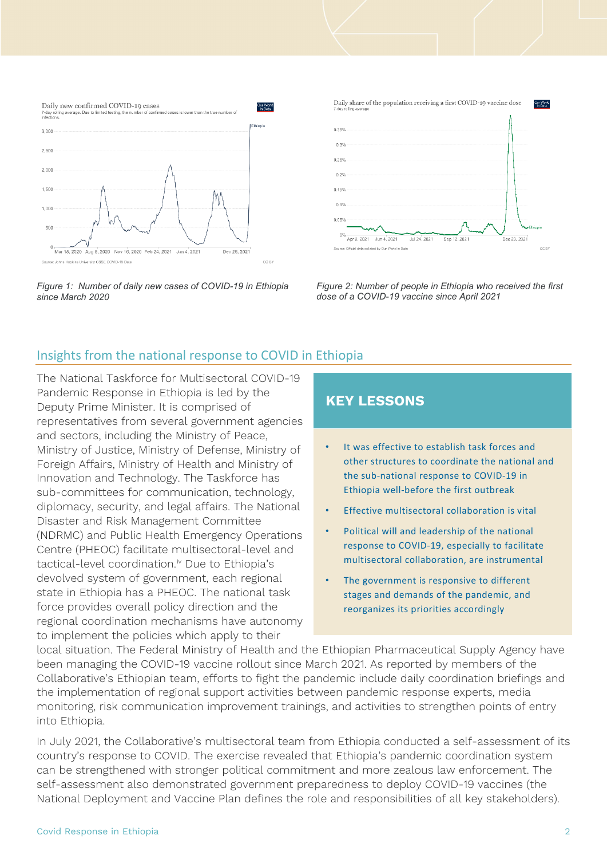

*Figure 1: Number of daily new cases of COVID-19 in Ethiopia since March 2020*



*Figure 2: Number of people in Ethiopia who received the first dose of a COVID-19 vaccine since April 2021*

## Insights from the national response to COVID in Ethiopia

The National Taskforce for Multisectoral COVID-19 Pandemic Response in Ethiopia is led by the Deputy Prime Minister. It is comprised of representatives from several government agencies and sectors, including the Ministry of Peace, Ministry of Justice, Ministry of Defense, Ministry of Foreign Affairs, Ministry of Health and Ministry of Innovation and Technology. The Taskforce has sub-committees for communication, technology, diplomacy, security, and legal affairs. The National Disaster and Risk Management Committee (NDRMC) and Public Health Emergency Operations Centre (PHEOC) facilitate multisectoral-level and tactical-level coordination.<sup>[iv](#page-4-3)</sup> Due to Ethiopia's devolved system of government, each regional state in Ethiopia has a PHEOC. The national task force provides overall policy direction and the regional coordination mechanisms have autonomy to implement the policies which apply to their

## **KEY LESSONS**

- It was effective to establish task forces and other structures to coordinate the national and the sub-national response to COVID-19 in Ethiopia well-before the first outbreak
- Effective multisectoral collaboration is vital
- Political will and leadership of the national response to COVID-19, especially to facilitate multisectoral collaboration, are instrumental
- The government is responsive to different stages and demands of the pandemic, and reorganizes its priorities accordingly

local situation. The Federal Ministry of Health and the Ethiopian Pharmaceutical Supply Agency have been managing the COVID-19 vaccine rollout since March 2021. As reported by members of the Collaborative's Ethiopian team, efforts to fight the pandemic include daily coordination briefings and the implementation of regional support activities between pandemic response experts, media monitoring, risk communication improvement trainings, and activities to strengthen points of entry into Ethiopia.

In July 2021, the Collaborative's multisectoral team from Ethiopia conducted a self-assessment of its country's response to COVID. The exercise revealed that Ethiopia's pandemic coordination system can be strengthened with stronger political commitment and more zealous law enforcement. The self-assessment also demonstrated government preparedness to deploy COVID-19 vaccines (the National Deployment and Vaccine Plan defines the role and responsibilities of all key stakeholders).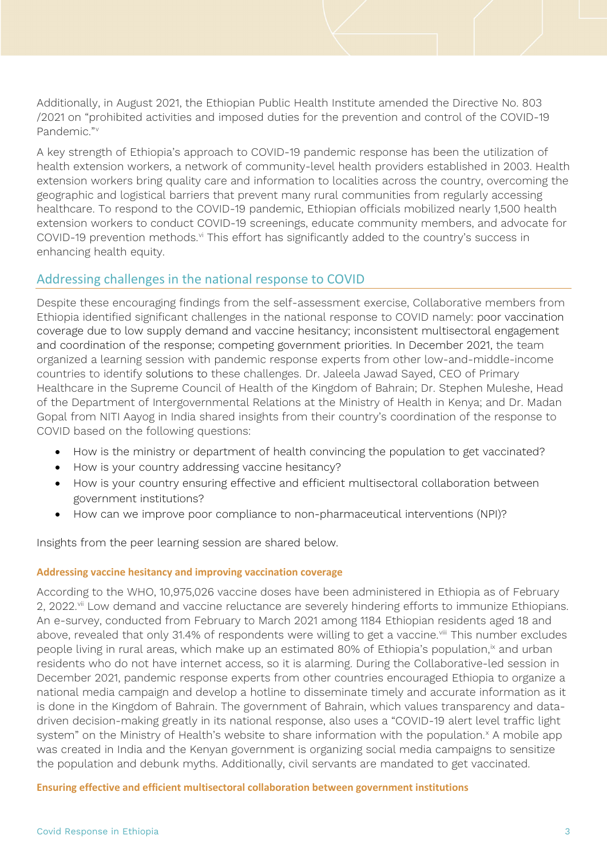Additionally, in August 2021, the Ethiopian Public Health Institute amended the Directive No. 803 /2021 on "prohibited activities and imposed duties for the prevention and control of the COVID-19 Pandemic."<sup>[v](#page-4-4)</sup>

A key strength of Ethiopia's approach to COVID-19 pandemic response has been the utilization of health extension workers, a network of community-level health providers established in 2003. Health extension workers bring quality care and information to localities across the country, overcoming the geographic and logistical barriers that prevent many rural communities from regularly accessing healthcare. To respond to the COVID-19 pandemic, Ethiopian officials mobilized nearly 1,500 health extension workers to conduct COVID-19 screenings, educate community members, and advocate for COVID-19 prevention methods.<sup>[vi](#page-4-5)</sup> This effort has significantly added to the country's success in enhancing health equity.

## Addressing challenges in the national response to COVID

Despite these encouraging findings from the self-assessment exercise, Collaborative members from Ethiopia identified significant challenges in the national response to COVID namely: poor vaccination coverage due to low supply demand and vaccine hesitancy; inconsistent multisectoral engagement and coordination of the response; competing government priorities. In December 2021, the team organized a learning session with pandemic response experts from other low-and-middle-income countries to identify solutions to these challenges. Dr. Jaleela Jawad Sayed, CEO of Primary Healthcare in the Supreme Council of Health of the Kingdom of Bahrain; Dr. Stephen Muleshe, Head of the Department of Intergovernmental Relations at the Ministry of Health in Kenya; and Dr. Madan Gopal from NITI Aayog in India shared insights from their country's coordination of the response to COVID based on the following questions:

- How is the ministry or department of health convincing the population to get vaccinated?
- How is your country addressing vaccine hesitancy?
- How is your country ensuring effective and efficient multisectoral collaboration between government institutions?
- How can we improve poor compliance to non-pharmaceutical interventions (NPI)?

Insights from the peer learning session are shared below.

#### **Addressing vaccine hesitancy and improving vaccination coverage**

According to the WHO, 10,975,026 vaccine doses have been administered in Ethiopia as of February 2, 2022.<sup>[vii](#page-4-6)</sup> Low demand and vaccine reluctance are severely hindering efforts to immunize Ethiopians. An e-survey, conducted from February to March 2021 among 1184 Ethiopian residents aged 18 and above, revealed that only 31.4% of respondents were willing to get a vaccine.<sup>[viii](#page-4-7)</sup> This number excludes people living in rural areas, which make up an estimated 80% of Ethiopia's population, $\frac{1}{x}$  and urban residents who do not have internet access, so it is alarming. During the Collaborative-led session in December 2021, pandemic response experts from other countries encouraged Ethiopia to organize a national media campaign and develop a hotline to disseminate timely and accurate information as it is done in the Kingdom of Bahrain. The government of Bahrain, which values transparency and datadriven decision-making greatly in its national response, also uses a "COVID-19 alert level traffic light system" on the Ministry of Health's website to share information with the population.<sup>[x](#page-4-9)</sup> A mobile app was created in India and the Kenyan government is organizing social media campaigns to sensitize the population and debunk myths. Additionally, civil servants are mandated to get vaccinated.

**Ensuring effective and efficient multisectoral collaboration between government institutions**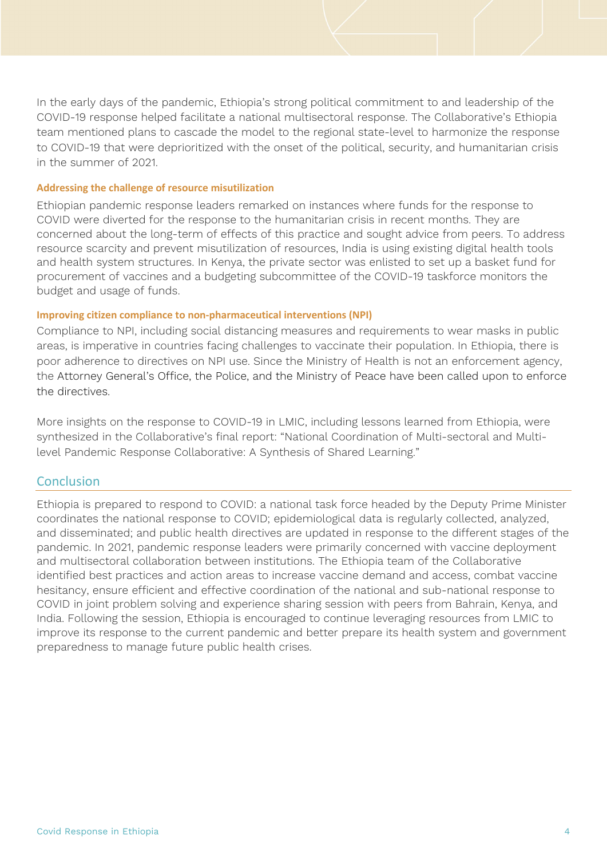In the early days of the pandemic, Ethiopia's strong political commitment to and leadership of the COVID-19 response helped facilitate a national multisectoral response. The Collaborative's Ethiopia team mentioned plans to cascade the model to the regional state-level to harmonize the response to COVID-19 that were deprioritized with the onset of the political, security, and humanitarian crisis in the summer of 2021.

#### **Addressing the challenge of resource misutilization**

Ethiopian pandemic response leaders remarked on instances where funds for the response to COVID were diverted for the response to the humanitarian crisis in recent months. They are concerned about the long-term of effects of this practice and sought advice from peers. To address resource scarcity and prevent misutilization of resources, India is using existing digital health tools and health system structures. In Kenya, the private sector was enlisted to set up a basket fund for procurement of vaccines and a budgeting subcommittee of the COVID-19 taskforce monitors the budget and usage of funds.

#### **Improving citizen compliance to non-pharmaceutical interventions (NPI)**

Compliance to NPI, including social distancing measures and requirements to wear masks in public areas, is imperative in countries facing challenges to vaccinate their population. In Ethiopia, there is poor adherence to directives on NPI use. Since the Ministry of Health is not an enforcement agency, the Attorney General's Office, the Police, and the Ministry of Peace have been called upon to enforce the directives.

More insights on the response to COVID-19 in LMIC, including lessons learned from Ethiopia, were synthesized in the Collaborative's final report: "National Coordination of Multi-sectoral and Multilevel Pandemic Response Collaborative: A Synthesis of Shared Learning."

#### **Conclusion**

Ethiopia is prepared to respond to COVID: a national task force headed by the Deputy Prime Minister coordinates the national response to COVID; epidemiological data is regularly collected, analyzed, and disseminated; and public health directives are updated in response to the different stages of the pandemic. In 2021, pandemic response leaders were primarily concerned with vaccine deployment and multisectoral collaboration between institutions. The Ethiopia team of the Collaborative identified best practices and action areas to increase vaccine demand and access, combat vaccine hesitancy, ensure efficient and effective coordination of the national and sub-national response to COVID in joint problem solving and experience sharing session with peers from Bahrain, Kenya, and India. Following the session, Ethiopia is encouraged to continue leveraging resources from LMIC to improve its response to the current pandemic and better prepare its health system and government preparedness to manage future public health crises.